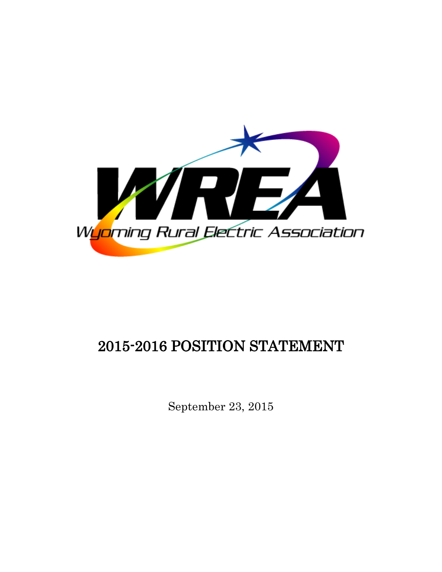

# 2015-2016 POSITION STATEMENT

September 23, 2015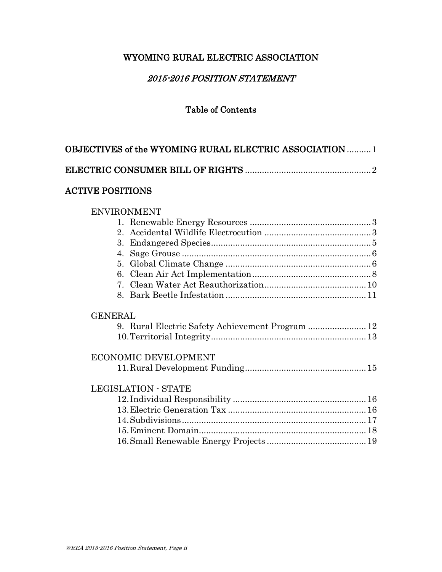# WYOMING RURAL ELECTRIC ASSOCIATION

# 2015-2016 POSITION STATEMENT

# Table of Contents

| OBJECTIVES of the WYOMING RURAL ELECTRIC ASSOCIATION  1 |  |
|---------------------------------------------------------|--|
|                                                         |  |
| <b>ACTIVE POSITIONS</b>                                 |  |
| <b>ENVIRONMENT</b>                                      |  |
|                                                         |  |
|                                                         |  |
| 3.                                                      |  |
| 4.                                                      |  |
|                                                         |  |
|                                                         |  |
|                                                         |  |
|                                                         |  |
| <b>GENERAL</b>                                          |  |
| 9. Rural Electric Safety Achievement Program  12        |  |
|                                                         |  |
| <b>ECONOMIC DEVELOPMENT</b>                             |  |
|                                                         |  |
| <b>LEGISLATION - STATE</b>                              |  |
|                                                         |  |
|                                                         |  |
|                                                         |  |
|                                                         |  |
|                                                         |  |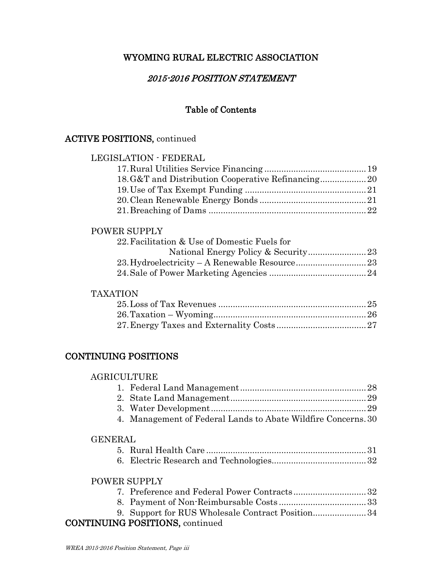# WYOMING RURAL ELECTRIC ASSOCIATION

# 2015-2016 POSITION STATEMENT

# Table of Contents

# ACTIVE POSITIONS, continued

# LEGISLATION - FEDERAL 17.Rural Utilities Service Financing ..........................................19 18.G&T and Distribution Cooperative Refinancing...................20 19.Use of Tax Exempt Funding ..................................................21 20.Clean Renewable Energy Bonds ............................................21 21.Breaching of Dams .................................................................22

# POWER SUPPLY

| 22. Facilitation & Use of Domestic Fuels for |  |
|----------------------------------------------|--|
|                                              |  |
|                                              |  |
|                                              |  |

# TAXATION

# CONTINUING POSITIONS

| <b>AGRICULTURE</b> |                                                               |  |
|--------------------|---------------------------------------------------------------|--|
|                    |                                                               |  |
|                    |                                                               |  |
|                    |                                                               |  |
|                    | 4. Management of Federal Lands to Abate Wildfire Concerns. 30 |  |
| <b>GENERAL</b>     |                                                               |  |
|                    |                                                               |  |
|                    |                                                               |  |
|                    | <b>POWER SUPPLY</b>                                           |  |
|                    |                                                               |  |
|                    |                                                               |  |
|                    | 9. Support for RUS Wholesale Contract Position34              |  |
|                    |                                                               |  |

# CONTINUING POSITIONS, continued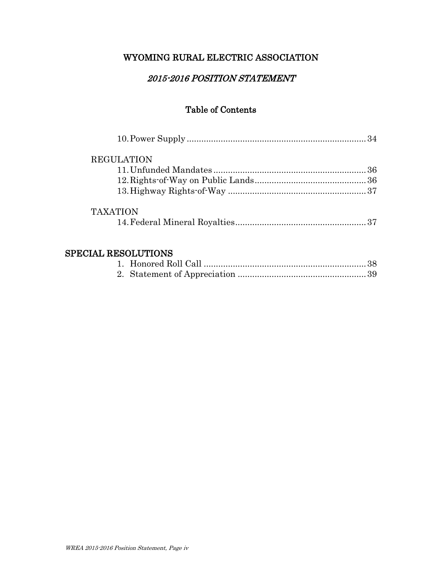# WYOMING RURAL ELECTRIC ASSOCIATION

# 2015-2016 POSITION STATEMENT

# Table of Contents

| <b>REGULATION</b> |  |
|-------------------|--|
|                   |  |
|                   |  |
|                   |  |
| <b>TAXATION</b>   |  |
|                   |  |
|                   |  |

# SPECIAL RESOLUTIONS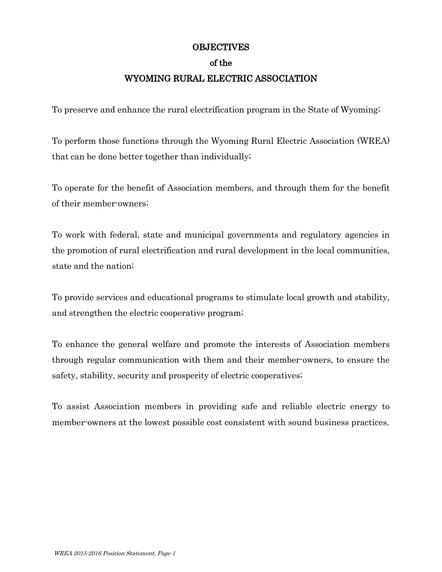#### **OBJECTIVES**

#### of the

# WYOMING RURAL ELECTRIC ASSOCIATION

To preserve and enhance the rural electrification program in the State of Wyoming;

To perform those functions through the Wyoming Rural Electric Association (WREA) that can be done better together than individually;

To operate for the benefit of Association members, and through them for the benefit of their member-owners;

To work with federal, state and municipal governments and regulatory agencies in the promotion of rural electrification and rural development in the local communities, state and the nation;

To provide services and educational programs to stimulate local growth and stability, and strengthen the electric cooperative program;

To enhance the general welfare and promote the interests of Association members through regular communication with them and their member-owners, to ensure the safety, stability, security and prosperity of electric cooperatives;

To assist Association members in providing safe and reliable electric energy to member-owners at the lowest possible cost consistent with sound business practices.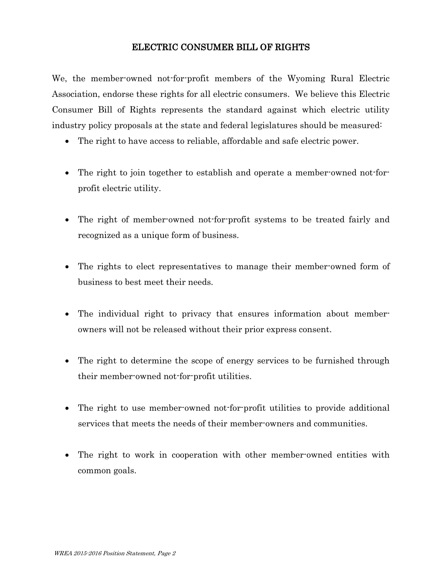# ELECTRIC CONSUMER BILL OF RIGHTS

We, the member-owned not-for-profit members of the Wyoming Rural Electric Association, endorse these rights for all electric consumers. We believe this Electric Consumer Bill of Rights represents the standard against which electric utility industry policy proposals at the state and federal legislatures should be measured:

- The right to have access to reliable, affordable and safe electric power.
- The right to join together to establish and operate a member-owned not-forprofit electric utility.
- The right of member-owned not-for-profit systems to be treated fairly and recognized as a unique form of business.
- The rights to elect representatives to manage their member-owned form of business to best meet their needs.
- The individual right to privacy that ensures information about memberowners will not be released without their prior express consent.
- The right to determine the scope of energy services to be furnished through their member-owned not-for-profit utilities.
- The right to use member-owned not-for-profit utilities to provide additional services that meets the needs of their member-owners and communities.
- The right to work in cooperation with other member-owned entities with common goals.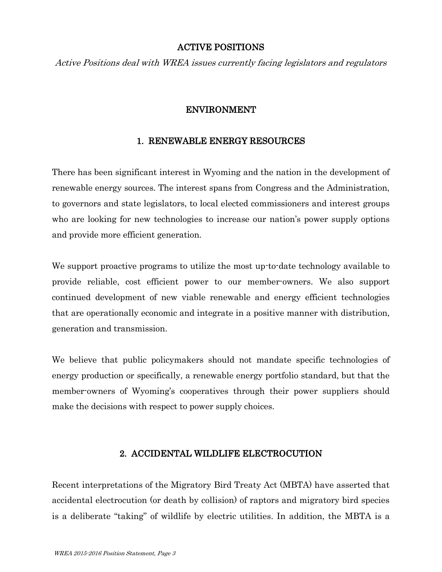# ACTIVE POSITIONS

Active Positions deal with WREA issues currently facing legislators and regulators

# ENVIRONMENT

#### 1. RENEWABLE ENERGY RESOURCES

There has been significant interest in Wyoming and the nation in the development of renewable energy sources. The interest spans from Congress and the Administration, to governors and state legislators, to local elected commissioners and interest groups who are looking for new technologies to increase our nation's power supply options and provide more efficient generation.

We support proactive programs to utilize the most up-to-date technology available to provide reliable, cost efficient power to our member-owners. We also support continued development of new viable renewable and energy efficient technologies that are operationally economic and integrate in a positive manner with distribution, generation and transmission.

We believe that public policymakers should not mandate specific technologies of energy production or specifically, a renewable energy portfolio standard, but that the member-owners of Wyoming's cooperatives through their power suppliers should make the decisions with respect to power supply choices.

# 2. ACCIDENTAL WILDLIFE ELECTROCUTION

Recent interpretations of the Migratory Bird Treaty Act (MBTA) have asserted that accidental electrocution (or death by collision) of raptors and migratory bird species is a deliberate "taking" of wildlife by electric utilities. In addition, the MBTA is a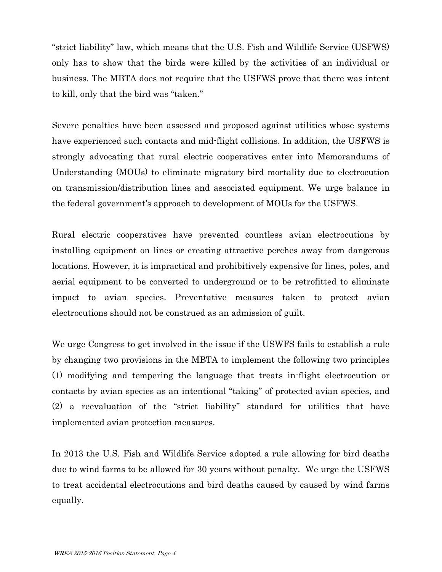"strict liability" law, which means that the U.S. Fish and Wildlife Service (USFWS) only has to show that the birds were killed by the activities of an individual or business. The MBTA does not require that the USFWS prove that there was intent to kill, only that the bird was "taken."

Severe penalties have been assessed and proposed against utilities whose systems have experienced such contacts and mid-flight collisions. In addition, the USFWS is strongly advocating that rural electric cooperatives enter into Memorandums of Understanding (MOUs) to eliminate migratory bird mortality due to electrocution on transmission/distribution lines and associated equipment. We urge balance in the federal government's approach to development of MOUs for the USFWS.

Rural electric cooperatives have prevented countless avian electrocutions by installing equipment on lines or creating attractive perches away from dangerous locations. However, it is impractical and prohibitively expensive for lines, poles, and aerial equipment to be converted to underground or to be retrofitted to eliminate impact to avian species. Preventative measures taken to protect avian electrocutions should not be construed as an admission of guilt.

We urge Congress to get involved in the issue if the USWFS fails to establish a rule by changing two provisions in the MBTA to implement the following two principles (1) modifying and tempering the language that treats in-flight electrocution or contacts by avian species as an intentional "taking" of protected avian species, and (2) a reevaluation of the "strict liability" standard for utilities that have implemented avian protection measures.

In 2013 the U.S. Fish and Wildlife Service adopted a rule allowing for bird deaths due to wind farms to be allowed for 30 years without penalty. We urge the USFWS to treat accidental electrocutions and bird deaths caused by caused by wind farms equally.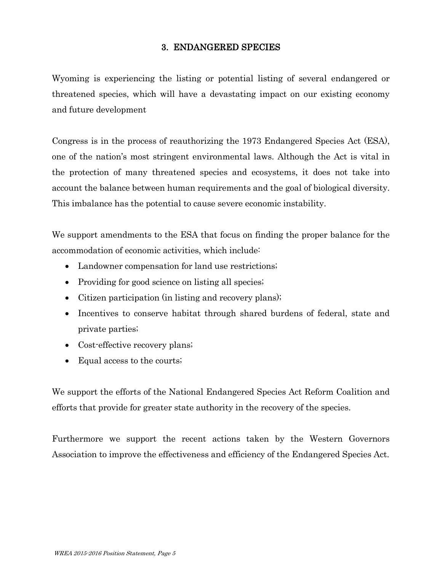# 3. ENDANGERED SPECIES

Wyoming is experiencing the listing or potential listing of several endangered or threatened species, which will have a devastating impact on our existing economy and future development

Congress is in the process of reauthorizing the 1973 Endangered Species Act (ESA), one of the nation's most stringent environmental laws. Although the Act is vital in the protection of many threatened species and ecosystems, it does not take into account the balance between human requirements and the goal of biological diversity. This imbalance has the potential to cause severe economic instability.

We support amendments to the ESA that focus on finding the proper balance for the accommodation of economic activities, which include:

- Landowner compensation for land use restrictions;
- Providing for good science on listing all species;
- Citizen participation (in listing and recovery plans);
- Incentives to conserve habitat through shared burdens of federal, state and private parties;
- Cost-effective recovery plans;
- Equal access to the courts;

We support the efforts of the National Endangered Species Act Reform Coalition and efforts that provide for greater state authority in the recovery of the species.

Furthermore we support the recent actions taken by the Western Governors Association to improve the effectiveness and efficiency of the Endangered Species Act.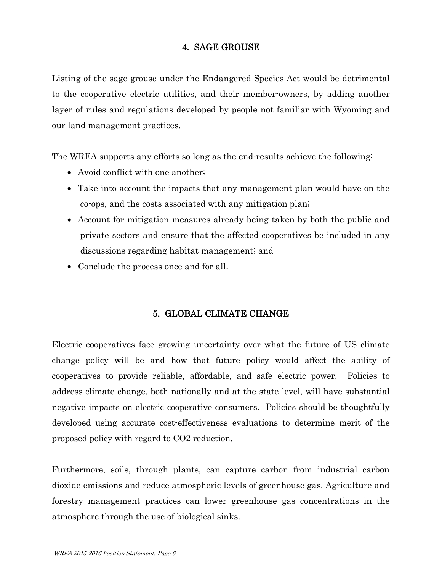# 4. SAGE GROUSE

Listing of the sage grouse under the Endangered Species Act would be detrimental to the cooperative electric utilities, and their member-owners, by adding another layer of rules and regulations developed by people not familiar with Wyoming and our land management practices.

The WREA supports any efforts so long as the end-results achieve the following:

- Avoid conflict with one another;
- Take into account the impacts that any management plan would have on the co-ops, and the costs associated with any mitigation plan;
- Account for mitigation measures already being taken by both the public and private sectors and ensure that the affected cooperatives be included in any discussions regarding habitat management; and
- Conclude the process once and for all.

# 5. GLOBAL CLIMATE CHANGE

Electric cooperatives face growing uncertainty over what the future of US climate change policy will be and how that future policy would affect the ability of cooperatives to provide reliable, affordable, and safe electric power. Policies to address climate change, both nationally and at the state level, will have substantial negative impacts on electric cooperative consumers. Policies should be thoughtfully developed using accurate cost-effectiveness evaluations to determine merit of the proposed policy with regard to CO2 reduction.

Furthermore, soils, through plants, can capture carbon from industrial carbon dioxide emissions and reduce atmospheric levels of greenhouse gas. Agriculture and forestry management practices can lower greenhouse gas concentrations in the atmosphere through the use of biological sinks.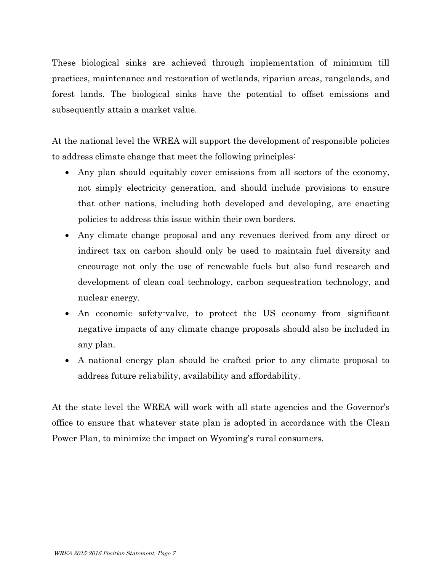These biological sinks are achieved through implementation of minimum till practices, maintenance and restoration of wetlands, riparian areas, rangelands, and forest lands. The biological sinks have the potential to offset emissions and subsequently attain a market value.

At the national level the WREA will support the development of responsible policies to address climate change that meet the following principles:

- Any plan should equitably cover emissions from all sectors of the economy, not simply electricity generation, and should include provisions to ensure that other nations, including both developed and developing, are enacting policies to address this issue within their own borders.
- Any climate change proposal and any revenues derived from any direct or indirect tax on carbon should only be used to maintain fuel diversity and encourage not only the use of renewable fuels but also fund research and development of clean coal technology, carbon sequestration technology, and nuclear energy.
- An economic safety-valve, to protect the US economy from significant negative impacts of any climate change proposals should also be included in any plan.
- A national energy plan should be crafted prior to any climate proposal to address future reliability, availability and affordability.

At the state level the WREA will work with all state agencies and the Governor's office to ensure that whatever state plan is adopted in accordance with the Clean Power Plan, to minimize the impact on Wyoming's rural consumers.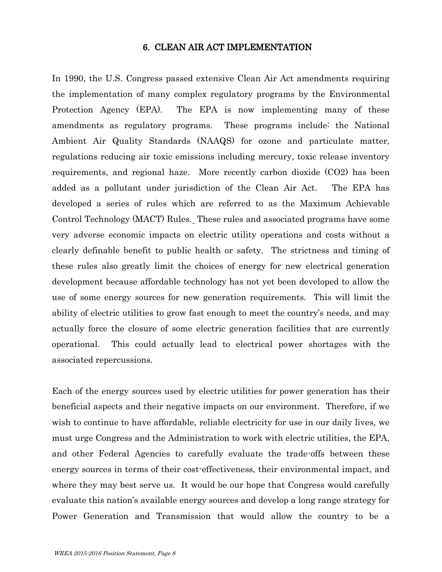#### 6. CLEAN AIR ACT IMPLEMENTATION

In 1990, the U.S. Congress passed extensive Clean Air Act amendments requiring the implementation of many complex regulatory programs by the Environmental Protection Agency (EPA). The EPA is now implementing many of these amendments as regulatory programs. These programs include: the National Ambient Air Quality Standards (NAAQS) for ozone and particulate matter, regulations reducing air toxic emissions including mercury, toxic release inventory requirements, and regional haze. More recently carbon dioxide (CO2) has been added as a pollutant under jurisdiction of the Clean Air Act. The EPA has developed a series of rules which are referred to as the Maximum Achievable Control Technology (MACT) Rules. These rules and associated programs have some very adverse economic impacts on electric utility operations and costs without a clearly definable benefit to public health or safety. The strictness and timing of these rules also greatly limit the choices of energy for new electrical generation development because affordable technology has not yet been developed to allow the use of some energy sources for new generation requirements. This will limit the ability of electric utilities to grow fast enough to meet the country's needs, and may actually force the closure of some electric generation facilities that are currently operational. This could actually lead to electrical power shortages with the associated repercussions.

Each of the energy sources used by electric utilities for power generation has their beneficial aspects and their negative impacts on our environment. Therefore, if we wish to continue to have affordable, reliable electricity for use in our daily lives, we must urge Congress and the Administration to work with electric utilities, the EPA, and other Federal Agencies to carefully evaluate the trade-offs between these energy sources in terms of their cost-effectiveness, their environmental impact, and where they may best serve us. It would be our hope that Congress would carefully evaluate this nation's available energy sources and develop a long range strategy for Power Generation and Transmission that would allow the country to be a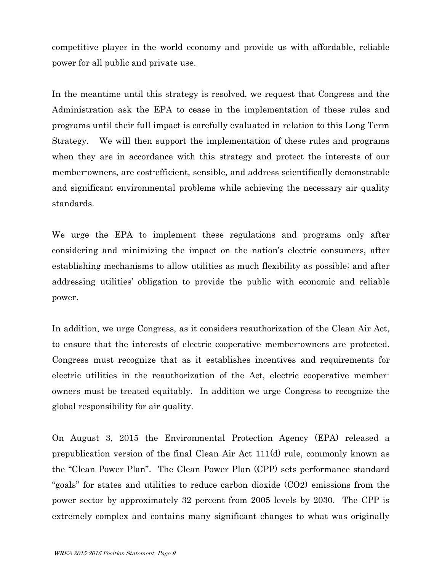competitive player in the world economy and provide us with affordable, reliable power for all public and private use.

In the meantime until this strategy is resolved, we request that Congress and the Administration ask the EPA to cease in the implementation of these rules and programs until their full impact is carefully evaluated in relation to this Long Term Strategy. We will then support the implementation of these rules and programs when they are in accordance with this strategy and protect the interests of our member-owners, are cost-efficient, sensible, and address scientifically demonstrable and significant environmental problems while achieving the necessary air quality standards.

We urge the EPA to implement these regulations and programs only after considering and minimizing the impact on the nation's electric consumers, after establishing mechanisms to allow utilities as much flexibility as possible; and after addressing utilities' obligation to provide the public with economic and reliable power.

In addition, we urge Congress, as it considers reauthorization of the Clean Air Act, to ensure that the interests of electric cooperative member-owners are protected. Congress must recognize that as it establishes incentives and requirements for electric utilities in the reauthorization of the Act, electric cooperative memberowners must be treated equitably. In addition we urge Congress to recognize the global responsibility for air quality.

On August 3, 2015 the Environmental Protection Agency (EPA) released a prepublication version of the final Clean Air Act 111(d) rule, commonly known as the "Clean Power Plan". The Clean Power Plan (CPP) sets performance standard "goals" for states and utilities to reduce carbon dioxide (CO2) emissions from the power sector by approximately 32 percent from 2005 levels by 2030. The CPP is extremely complex and contains many significant changes to what was originally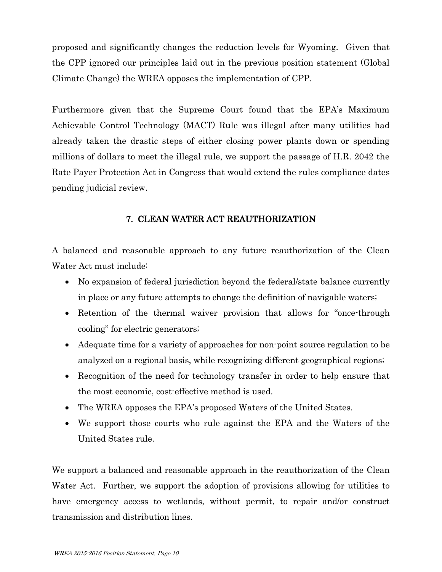proposed and significantly changes the reduction levels for Wyoming. Given that the CPP ignored our principles laid out in the previous position statement (Global Climate Change) the WREA opposes the implementation of CPP.

Furthermore given that the Supreme Court found that the EPA's Maximum Achievable Control Technology (MACT) Rule was illegal after many utilities had already taken the drastic steps of either closing power plants down or spending millions of dollars to meet the illegal rule, we support the passage of H.R. 2042 the Rate Payer Protection Act in Congress that would extend the rules compliance dates pending judicial review.

# 7. CLEAN WATER ACT REAUTHORIZATION

A balanced and reasonable approach to any future reauthorization of the Clean Water Act must include:

- No expansion of federal jurisdiction beyond the federal/state balance currently in place or any future attempts to change the definition of navigable waters;
- Retention of the thermal waiver provision that allows for "once-through cooling" for electric generators;
- Adequate time for a variety of approaches for non-point source regulation to be analyzed on a regional basis, while recognizing different geographical regions;
- Recognition of the need for technology transfer in order to help ensure that the most economic, cost-effective method is used.
- The WREA opposes the EPA's proposed Waters of the United States.
- We support those courts who rule against the EPA and the Waters of the United States rule.

We support a balanced and reasonable approach in the reauthorization of the Clean Water Act. Further, we support the adoption of provisions allowing for utilities to have emergency access to wetlands, without permit, to repair and/or construct transmission and distribution lines.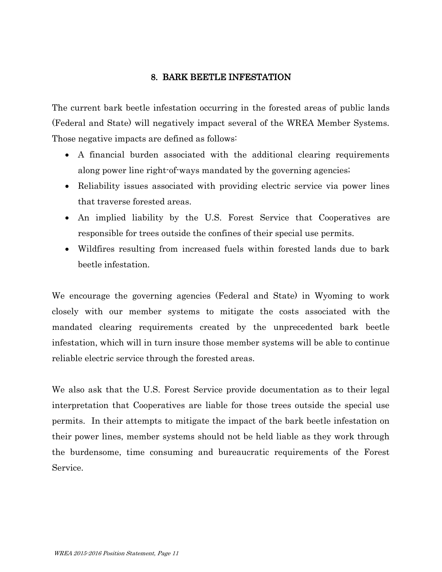# 8. BARK BEETLE INFESTATION

The current bark beetle infestation occurring in the forested areas of public lands (Federal and State) will negatively impact several of the WREA Member Systems. Those negative impacts are defined as follows:

- A financial burden associated with the additional clearing requirements along power line right-of-ways mandated by the governing agencies;
- Reliability issues associated with providing electric service via power lines that traverse forested areas.
- An implied liability by the U.S. Forest Service that Cooperatives are responsible for trees outside the confines of their special use permits.
- Wildfires resulting from increased fuels within forested lands due to bark beetle infestation.

We encourage the governing agencies (Federal and State) in Wyoming to work closely with our member systems to mitigate the costs associated with the mandated clearing requirements created by the unprecedented bark beetle infestation, which will in turn insure those member systems will be able to continue reliable electric service through the forested areas.

We also ask that the U.S. Forest Service provide documentation as to their legal interpretation that Cooperatives are liable for those trees outside the special use permits. In their attempts to mitigate the impact of the bark beetle infestation on their power lines, member systems should not be held liable as they work through the burdensome, time consuming and bureaucratic requirements of the Forest Service.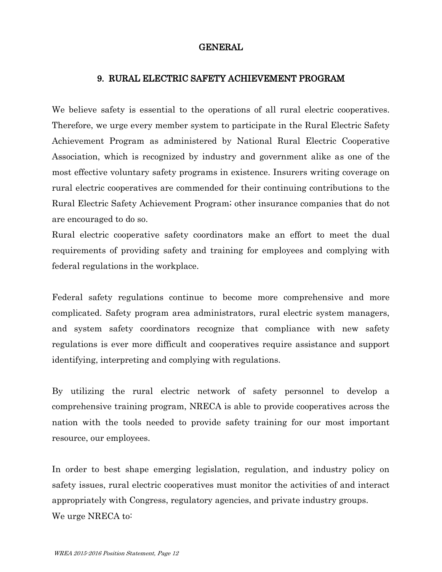# GENERAL

#### 9. RURAL ELECTRIC SAFETY ACHIEVEMENT PROGRAM

We believe safety is essential to the operations of all rural electric cooperatives. Therefore, we urge every member system to participate in the Rural Electric Safety Achievement Program as administered by National Rural Electric Cooperative Association, which is recognized by industry and government alike as one of the most effective voluntary safety programs in existence. Insurers writing coverage on rural electric cooperatives are commended for their continuing contributions to the Rural Electric Safety Achievement Program; other insurance companies that do not are encouraged to do so.

Rural electric cooperative safety coordinators make an effort to meet the dual requirements of providing safety and training for employees and complying with federal regulations in the workplace.

Federal safety regulations continue to become more comprehensive and more complicated. Safety program area administrators, rural electric system managers, and system safety coordinators recognize that compliance with new safety regulations is ever more difficult and cooperatives require assistance and support identifying, interpreting and complying with regulations.

By utilizing the rural electric network of safety personnel to develop a comprehensive training program, NRECA is able to provide cooperatives across the nation with the tools needed to provide safety training for our most important resource, our employees.

In order to best shape emerging legislation, regulation, and industry policy on safety issues, rural electric cooperatives must monitor the activities of and interact appropriately with Congress, regulatory agencies, and private industry groups. We urge NRECA to: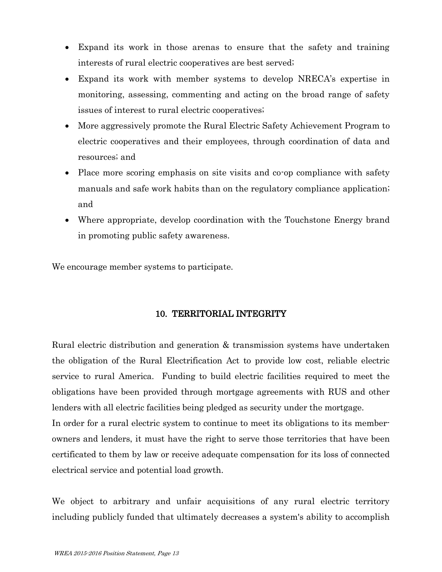- Expand its work in those arenas to ensure that the safety and training interests of rural electric cooperatives are best served;
- Expand its work with member systems to develop NRECA's expertise in monitoring, assessing, commenting and acting on the broad range of safety issues of interest to rural electric cooperatives;
- More aggressively promote the Rural Electric Safety Achievement Program to electric cooperatives and their employees, through coordination of data and resources; and
- Place more scoring emphasis on site visits and co-op compliance with safety manuals and safe work habits than on the regulatory compliance application; and
- Where appropriate, develop coordination with the Touchstone Energy brand in promoting public safety awareness.

We encourage member systems to participate.

# 10. TERRITORIAL INTEGRITY

Rural electric distribution and generation & transmission systems have undertaken the obligation of the Rural Electrification Act to provide low cost, reliable electric service to rural America. Funding to build electric facilities required to meet the obligations have been provided through mortgage agreements with RUS and other lenders with all electric facilities being pledged as security under the mortgage.

In order for a rural electric system to continue to meet its obligations to its memberowners and lenders, it must have the right to serve those territories that have been certificated to them by law or receive adequate compensation for its loss of connected electrical service and potential load growth.

We object to arbitrary and unfair acquisitions of any rural electric territory including publicly funded that ultimately decreases a system's ability to accomplish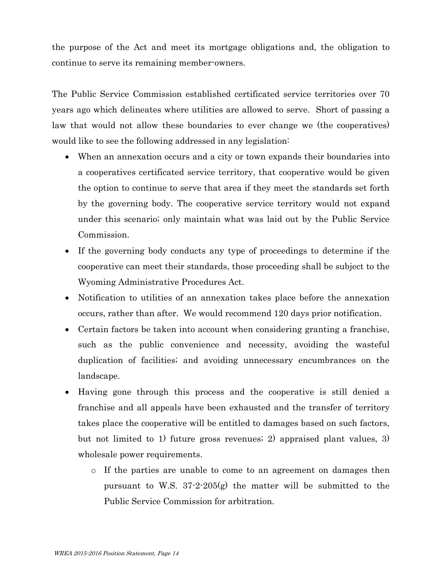the purpose of the Act and meet its mortgage obligations and, the obligation to continue to serve its remaining member-owners.

The Public Service Commission established certificated service territories over 70 years ago which delineates where utilities are allowed to serve. Short of passing a law that would not allow these boundaries to ever change we (the cooperatives) would like to see the following addressed in any legislation:

- When an annexation occurs and a city or town expands their boundaries into a cooperatives certificated service territory, that cooperative would be given the option to continue to serve that area if they meet the standards set forth by the governing body. The cooperative service territory would not expand under this scenario; only maintain what was laid out by the Public Service Commission.
- If the governing body conducts any type of proceedings to determine if the cooperative can meet their standards, those proceeding shall be subject to the Wyoming Administrative Procedures Act.
- Notification to utilities of an annexation takes place before the annexation occurs, rather than after. We would recommend 120 days prior notification.
- Certain factors be taken into account when considering granting a franchise, such as the public convenience and necessity, avoiding the wasteful duplication of facilities; and avoiding unnecessary encumbrances on the landscape.
- Having gone through this process and the cooperative is still denied a franchise and all appeals have been exhausted and the transfer of territory takes place the cooperative will be entitled to damages based on such factors, but not limited to 1) future gross revenues; 2) appraised plant values, 3) wholesale power requirements.
	- o If the parties are unable to come to an agreement on damages then pursuant to W.S.  $37-2-205(g)$  the matter will be submitted to the Public Service Commission for arbitration.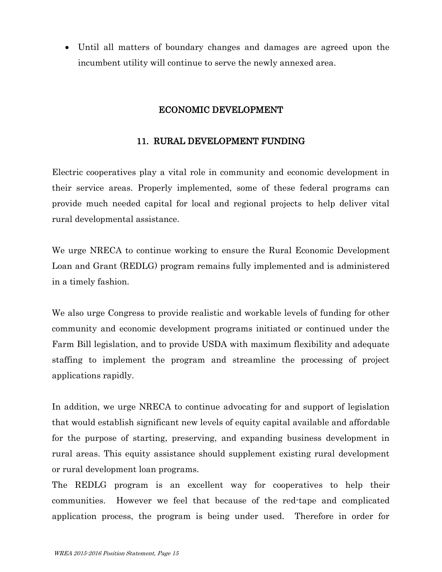Until all matters of boundary changes and damages are agreed upon the incumbent utility will continue to serve the newly annexed area.

# ECONOMIC DEVELOPMENT

# 11. RURAL DEVELOPMENT FUNDING

Electric cooperatives play a vital role in community and economic development in their service areas. Properly implemented, some of these federal programs can provide much needed capital for local and regional projects to help deliver vital rural developmental assistance.

We urge NRECA to continue working to ensure the Rural Economic Development Loan and Grant (REDLG) program remains fully implemented and is administered in a timely fashion.

We also urge Congress to provide realistic and workable levels of funding for other community and economic development programs initiated or continued under the Farm Bill legislation, and to provide USDA with maximum flexibility and adequate staffing to implement the program and streamline the processing of project applications rapidly.

In addition, we urge NRECA to continue advocating for and support of legislation that would establish significant new levels of equity capital available and affordable for the purpose of starting, preserving, and expanding business development in rural areas. This equity assistance should supplement existing rural development or rural development loan programs.

The REDLG program is an excellent way for cooperatives to help their communities. However we feel that because of the red-tape and complicated application process, the program is being under used. Therefore in order for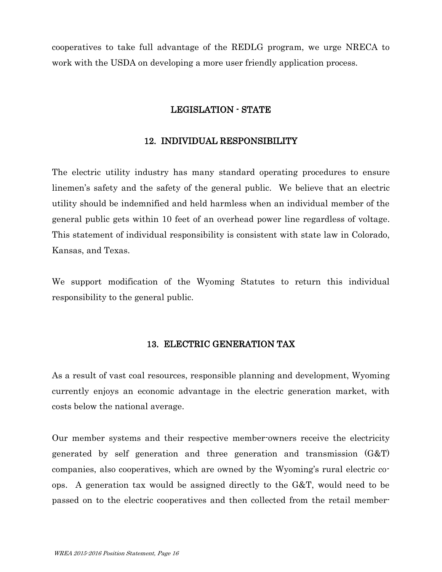cooperatives to take full advantage of the REDLG program, we urge NRECA to work with the USDA on developing a more user friendly application process.

#### LEGISLATION - STATE

# 12. INDIVIDUAL RESPONSIBILITY

The electric utility industry has many standard operating procedures to ensure linemen's safety and the safety of the general public. We believe that an electric utility should be indemnified and held harmless when an individual member of the general public gets within 10 feet of an overhead power line regardless of voltage. This statement of individual responsibility is consistent with state law in Colorado, Kansas, and Texas.

We support modification of the Wyoming Statutes to return this individual responsibility to the general public.

#### 13. ELECTRIC GENERATION TAX

As a result of vast coal resources, responsible planning and development, Wyoming currently enjoys an economic advantage in the electric generation market, with costs below the national average.

Our member systems and their respective member-owners receive the electricity generated by self generation and three generation and transmission (G&T) companies, also cooperatives, which are owned by the Wyoming's rural electric coops. A generation tax would be assigned directly to the G&T, would need to be passed on to the electric cooperatives and then collected from the retail member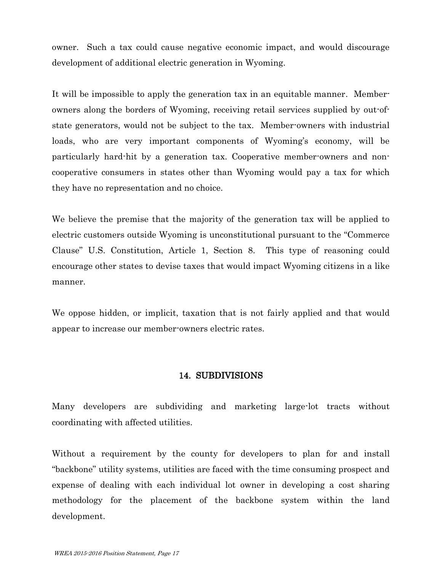owner. Such a tax could cause negative economic impact, and would discourage development of additional electric generation in Wyoming.

It will be impossible to apply the generation tax in an equitable manner. Memberowners along the borders of Wyoming, receiving retail services supplied by out-ofstate generators, would not be subject to the tax. Member-owners with industrial loads, who are very important components of Wyoming's economy, will be particularly hard-hit by a generation tax. Cooperative member-owners and noncooperative consumers in states other than Wyoming would pay a tax for which they have no representation and no choice.

We believe the premise that the majority of the generation tax will be applied to electric customers outside Wyoming is unconstitutional pursuant to the "Commerce Clause" U.S. Constitution, Article 1, Section 8. This type of reasoning could encourage other states to devise taxes that would impact Wyoming citizens in a like manner.

We oppose hidden, or implicit, taxation that is not fairly applied and that would appear to increase our member-owners electric rates.

#### 14. SUBDIVISIONS

Many developers are subdividing and marketing large-lot tracts without coordinating with affected utilities.

Without a requirement by the county for developers to plan for and install "backbone" utility systems, utilities are faced with the time consuming prospect and expense of dealing with each individual lot owner in developing a cost sharing methodology for the placement of the backbone system within the land development.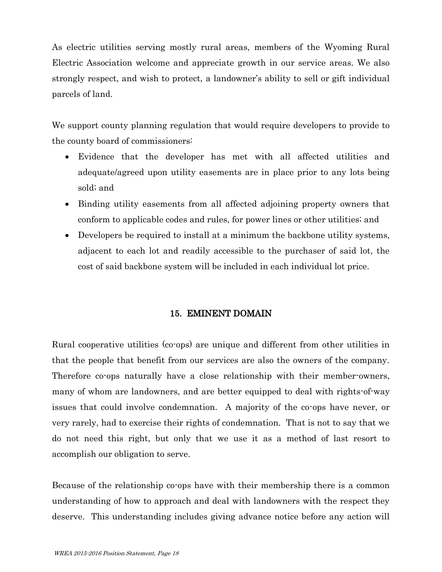As electric utilities serving mostly rural areas, members of the Wyoming Rural Electric Association welcome and appreciate growth in our service areas. We also strongly respect, and wish to protect, a landowner's ability to sell or gift individual parcels of land.

We support county planning regulation that would require developers to provide to the county board of commissioners:

- Evidence that the developer has met with all affected utilities and adequate/agreed upon utility easements are in place prior to any lots being sold; and
- Binding utility easements from all affected adjoining property owners that conform to applicable codes and rules, for power lines or other utilities; and
- Developers be required to install at a minimum the backbone utility systems, adjacent to each lot and readily accessible to the purchaser of said lot, the cost of said backbone system will be included in each individual lot price.

# 15. EMINENT DOMAIN

Rural cooperative utilities (co-ops) are unique and different from other utilities in that the people that benefit from our services are also the owners of the company. Therefore co-ops naturally have a close relationship with their member-owners, many of whom are landowners, and are better equipped to deal with rights-of-way issues that could involve condemnation. A majority of the co-ops have never, or very rarely, had to exercise their rights of condemnation. That is not to say that we do not need this right, but only that we use it as a method of last resort to accomplish our obligation to serve.

Because of the relationship co-ops have with their membership there is a common understanding of how to approach and deal with landowners with the respect they deserve. This understanding includes giving advance notice before any action will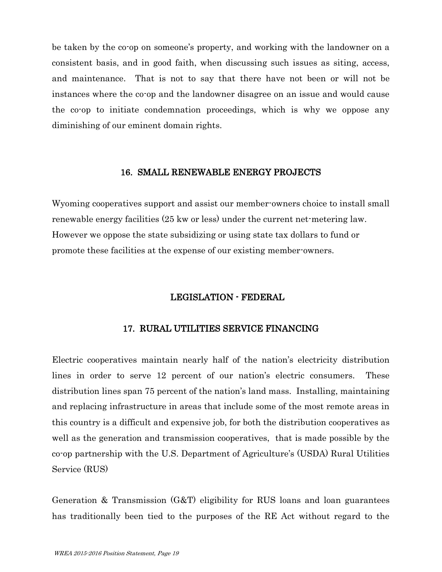be taken by the co-op on someone's property, and working with the landowner on a consistent basis, and in good faith, when discussing such issues as siting, access, and maintenance. That is not to say that there have not been or will not be instances where the co-op and the landowner disagree on an issue and would cause the co-op to initiate condemnation proceedings, which is why we oppose any diminishing of our eminent domain rights.

#### 16. SMALL RENEWABLE ENERGY PROJECTS

Wyoming cooperatives support and assist our member-owners choice to install small renewable energy facilities (25 kw or less) under the current net-metering law. However we oppose the state subsidizing or using state tax dollars to fund or promote these facilities at the expense of our existing member-owners.

# LEGISLATION - FEDERAL

# 17. RURAL UTILITIES SERVICE FINANCING

Electric cooperatives maintain nearly half of the nation's electricity distribution lines in order to serve 12 percent of our nation's electric consumers. These distribution lines span 75 percent of the nation's land mass. Installing, maintaining and replacing infrastructure in areas that include some of the most remote areas in this country is a difficult and expensive job, for both the distribution cooperatives as well as the generation and transmission cooperatives, that is made possible by the co-op partnership with the U.S. Department of Agriculture's (USDA) Rural Utilities Service (RUS)

Generation & Transmission (G&T) eligibility for RUS loans and loan guarantees has traditionally been tied to the purposes of the RE Act without regard to the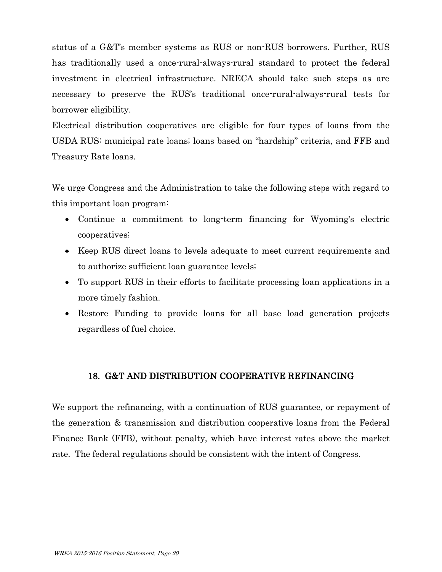status of a G&T's member systems as RUS or non-RUS borrowers. Further, RUS has traditionally used a once-rural-always-rural standard to protect the federal investment in electrical infrastructure. NRECA should take such steps as are necessary to preserve the RUS's traditional once-rural-always-rural tests for borrower eligibility.

Electrical distribution cooperatives are eligible for four types of loans from the USDA RUS: municipal rate loans; loans based on "hardship" criteria, and FFB and Treasury Rate loans.

We urge Congress and the Administration to take the following steps with regard to this important loan program:

- Continue a commitment to long-term financing for Wyoming's electric cooperatives;
- Keep RUS direct loans to levels adequate to meet current requirements and to authorize sufficient loan guarantee levels;
- To support RUS in their efforts to facilitate processing loan applications in a more timely fashion.
- Restore Funding to provide loans for all base load generation projects regardless of fuel choice.

# 18. G&T AND DISTRIBUTION COOPERATIVE REFINANCING

We support the refinancing, with a continuation of RUS guarantee, or repayment of the generation & transmission and distribution cooperative loans from the Federal Finance Bank (FFB), without penalty, which have interest rates above the market rate. The federal regulations should be consistent with the intent of Congress.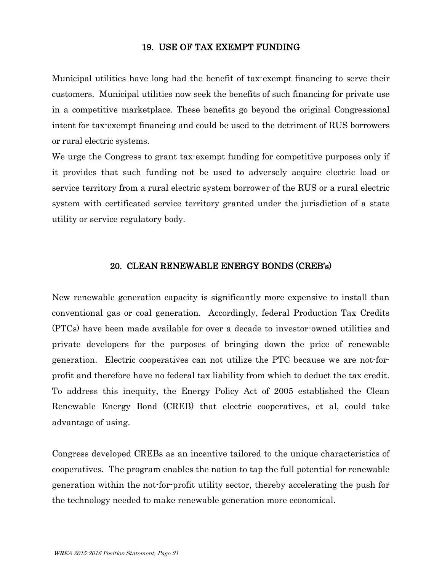#### 19. USE OF TAX EXEMPT FUNDING

Municipal utilities have long had the benefit of tax-exempt financing to serve their customers. Municipal utilities now seek the benefits of such financing for private use in a competitive marketplace. These benefits go beyond the original Congressional intent for tax-exempt financing and could be used to the detriment of RUS borrowers or rural electric systems.

We urge the Congress to grant tax-exempt funding for competitive purposes only if it provides that such funding not be used to adversely acquire electric load or service territory from a rural electric system borrower of the RUS or a rural electric system with certificated service territory granted under the jurisdiction of a state utility or service regulatory body.

#### 20. CLEAN RENEWABLE ENERGY BONDS (CREB's)

New renewable generation capacity is significantly more expensive to install than conventional gas or coal generation. Accordingly, federal Production Tax Credits (PTCs) have been made available for over a decade to investor-owned utilities and private developers for the purposes of bringing down the price of renewable generation. Electric cooperatives can not utilize the PTC because we are not-forprofit and therefore have no federal tax liability from which to deduct the tax credit. To address this inequity, the Energy Policy Act of 2005 established the Clean Renewable Energy Bond (CREB) that electric cooperatives, et al, could take advantage of using.

Congress developed CREBs as an incentive tailored to the unique characteristics of cooperatives. The program enables the nation to tap the full potential for renewable generation within the not-for-profit utility sector, thereby accelerating the push for the technology needed to make renewable generation more economical.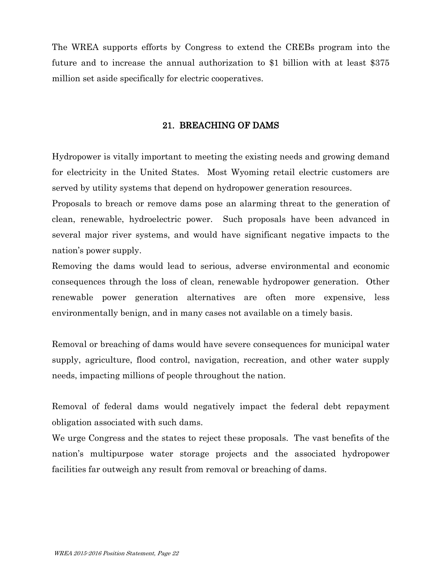The WREA supports efforts by Congress to extend the CREBs program into the future and to increase the annual authorization to \$1 billion with at least \$375 million set aside specifically for electric cooperatives.

# 21. BREACHING OF DAMS

Hydropower is vitally important to meeting the existing needs and growing demand for electricity in the United States. Most Wyoming retail electric customers are served by utility systems that depend on hydropower generation resources.

Proposals to breach or remove dams pose an alarming threat to the generation of clean, renewable, hydroelectric power. Such proposals have been advanced in several major river systems, and would have significant negative impacts to the nation's power supply.

Removing the dams would lead to serious, adverse environmental and economic consequences through the loss of clean, renewable hydropower generation. Other renewable power generation alternatives are often more expensive, less environmentally benign, and in many cases not available on a timely basis.

Removal or breaching of dams would have severe consequences for municipal water supply, agriculture, flood control, navigation, recreation, and other water supply needs, impacting millions of people throughout the nation.

Removal of federal dams would negatively impact the federal debt repayment obligation associated with such dams.

We urge Congress and the states to reject these proposals. The vast benefits of the nation's multipurpose water storage projects and the associated hydropower facilities far outweigh any result from removal or breaching of dams.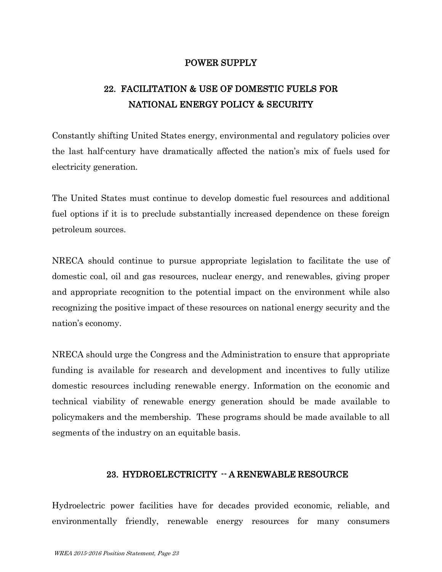# POWER SUPPLY

# 22. FACILITATION & USE OF DOMESTIC FUELS FOR NATIONAL ENERGY POLICY & SECURITY

Constantly shifting United States energy, environmental and regulatory policies over the last half-century have dramatically affected the nation's mix of fuels used for electricity generation.

The United States must continue to develop domestic fuel resources and additional fuel options if it is to preclude substantially increased dependence on these foreign petroleum sources.

NRECA should continue to pursue appropriate legislation to facilitate the use of domestic coal, oil and gas resources, nuclear energy, and renewables, giving proper and appropriate recognition to the potential impact on the environment while also recognizing the positive impact of these resources on national energy security and the nation's economy.

NRECA should urge the Congress and the Administration to ensure that appropriate funding is available for research and development and incentives to fully utilize domestic resources including renewable energy. Information on the economic and technical viability of renewable energy generation should be made available to policymakers and the membership. These programs should be made available to all segments of the industry on an equitable basis.

# 23. HYDROELECTRICITY -- A RENEWABLE RESOURCE

Hydroelectric power facilities have for decades provided economic, reliable, and environmentally friendly, renewable energy resources for many consumers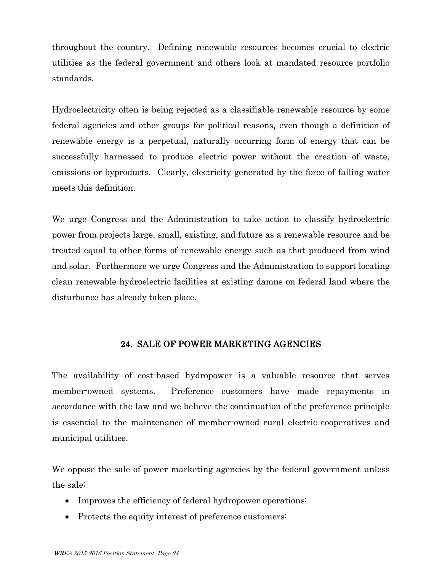throughout the country. Defining renewable resources becomes crucial to electric utilities as the federal government and others look at mandated resource portfolio standards.

Hydroelectricity often is being rejected as a classifiable renewable resource by some federal agencies and other groups for political reasons, even though a definition of renewable energy is a perpetual, naturally occurring form of energy that can be successfully harnessed to produce electric power without the creation of waste, emissions or byproducts. Clearly, electricity generated by the force of falling water meets this definition.

We urge Congress and the Administration to take action to classify hydroelectric power from projects large, small, existing, and future as a renewable resource and be treated equal to other forms of renewable energy such as that produced from wind and solar. Furthermore we urge Congress and the Administration to support locating clean renewable hydroelectric facilities at existing damns on federal land where the disturbance has already taken place.

# 24. SALE OF POWER MARKETING AGENCIES

The availability of cost-based hydropower is a valuable resource that serves member-owned systems. Preference customers have made repayments in accordance with the law and we believe the continuation of the preference principle is essential to the maintenance of member-owned rural electric cooperatives and municipal utilities.

We oppose the sale of power marketing agencies by the federal government unless the sale:

- Improves the efficiency of federal hydropower operations;
- Protects the equity interest of preference customers;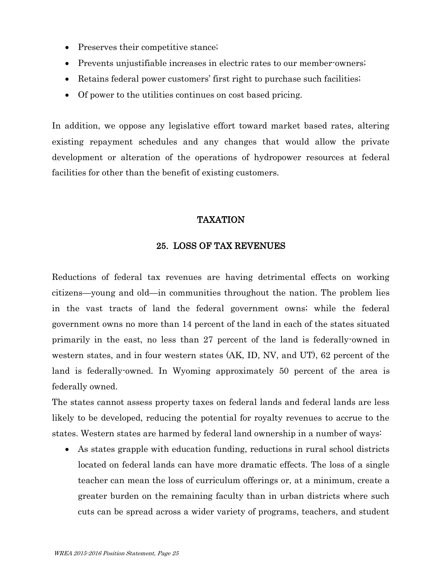- Preserves their competitive stance;
- Prevents unjustifiable increases in electric rates to our member-owners;
- Retains federal power customers' first right to purchase such facilities;
- Of power to the utilities continues on cost based pricing.

In addition, we oppose any legislative effort toward market based rates, altering existing repayment schedules and any changes that would allow the private development or alteration of the operations of hydropower resources at federal facilities for other than the benefit of existing customers.

# TAXATION

# 25. LOSS OF TAX REVENUES

Reductions of federal tax revenues are having detrimental effects on working citizens—young and old—in communities throughout the nation. The problem lies in the vast tracts of land the federal government owns; while the federal government owns no more than 14 percent of the land in each of the states situated primarily in the east, no less than 27 percent of the land is federally-owned in western states, and in four western states (AK, ID, NV, and UT), 62 percent of the land is federally-owned. In Wyoming approximately 50 percent of the area is federally owned.

The states cannot assess property taxes on federal lands and federal lands are less likely to be developed, reducing the potential for royalty revenues to accrue to the states. Western states are harmed by federal land ownership in a number of ways:

 As states grapple with education funding, reductions in rural school districts located on federal lands can have more dramatic effects. The loss of a single teacher can mean the loss of curriculum offerings or, at a minimum, create a greater burden on the remaining faculty than in urban districts where such cuts can be spread across a wider variety of programs, teachers, and student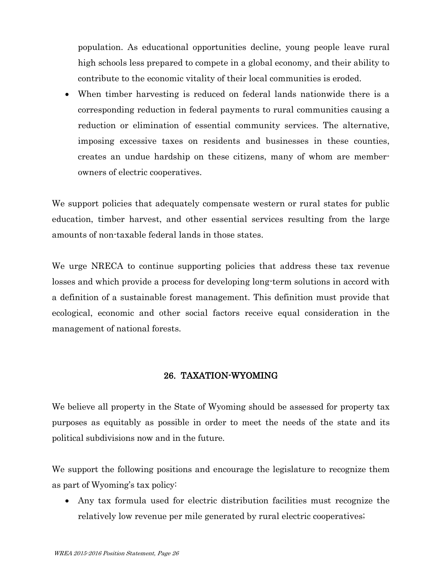population. As educational opportunities decline, young people leave rural high schools less prepared to compete in a global economy, and their ability to contribute to the economic vitality of their local communities is eroded.

 When timber harvesting is reduced on federal lands nationwide there is a corresponding reduction in federal payments to rural communities causing a reduction or elimination of essential community services. The alternative, imposing excessive taxes on residents and businesses in these counties, creates an undue hardship on these citizens, many of whom are memberowners of electric cooperatives.

We support policies that adequately compensate western or rural states for public education, timber harvest, and other essential services resulting from the large amounts of non-taxable federal lands in those states.

We urge NRECA to continue supporting policies that address these tax revenue losses and which provide a process for developing long-term solutions in accord with a definition of a sustainable forest management. This definition must provide that ecological, economic and other social factors receive equal consideration in the management of national forests.

# 26. TAXATION-WYOMING

We believe all property in the State of Wyoming should be assessed for property tax purposes as equitably as possible in order to meet the needs of the state and its political subdivisions now and in the future.

We support the following positions and encourage the legislature to recognize them as part of Wyoming's tax policy:

 Any tax formula used for electric distribution facilities must recognize the relatively low revenue per mile generated by rural electric cooperatives;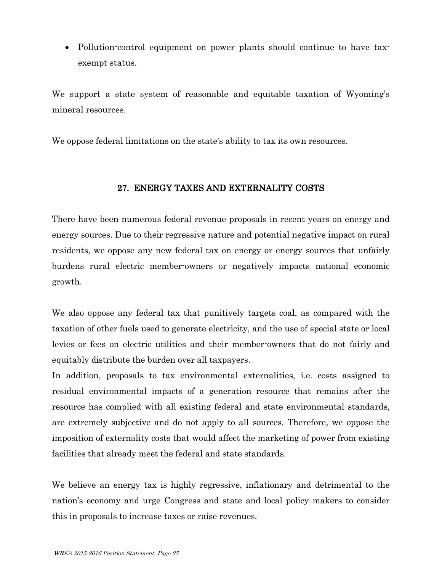Pollution-control equipment on power plants should continue to have taxexempt status.

We support a state system of reasonable and equitable taxation of Wyoming's mineral resources.

We oppose federal limitations on the state's ability to tax its own resources.

# 27. ENERGY TAXES AND EXTERNALITY COSTS

There have been numerous federal revenue proposals in recent years on energy and energy sources. Due to their regressive nature and potential negative impact on rural residents, we oppose any new federal tax on energy or energy sources that unfairly burdens rural electric member-owners or negatively impacts national economic growth.

We also oppose any federal tax that punitively targets coal, as compared with the taxation of other fuels used to generate electricity, and the use of special state or local levies or fees on electric utilities and their member-owners that do not fairly and equitably distribute the burden over all taxpayers.

In addition, proposals to tax environmental externalities, i.e. costs assigned to residual environmental impacts of a generation resource that remains after the resource has complied with all existing federal and state environmental standards, are extremely subjective and do not apply to all sources. Therefore, we oppose the imposition of externality costs that would affect the marketing of power from existing facilities that already meet the federal and state standards.

We believe an energy tax is highly regressive, inflationary and detrimental to the nation's economy and urge Congress and state and local policy makers to consider this in proposals to increase taxes or raise revenues.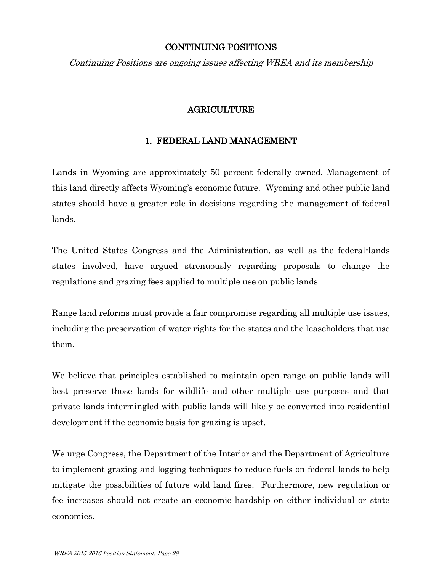# CONTINUING POSITIONS

Continuing Positions are ongoing issues affecting WREA and its membership

# AGRICULTURE

# 1. FEDERAL LAND MANAGEMENT

Lands in Wyoming are approximately 50 percent federally owned. Management of this land directly affects Wyoming's economic future. Wyoming and other public land states should have a greater role in decisions regarding the management of federal lands.

The United States Congress and the Administration, as well as the federal-lands states involved, have argued strenuously regarding proposals to change the regulations and grazing fees applied to multiple use on public lands.

Range land reforms must provide a fair compromise regarding all multiple use issues, including the preservation of water rights for the states and the leaseholders that use them.

We believe that principles established to maintain open range on public lands will best preserve those lands for wildlife and other multiple use purposes and that private lands intermingled with public lands will likely be converted into residential development if the economic basis for grazing is upset.

We urge Congress, the Department of the Interior and the Department of Agriculture to implement grazing and logging techniques to reduce fuels on federal lands to help mitigate the possibilities of future wild land fires. Furthermore, new regulation or fee increases should not create an economic hardship on either individual or state economies.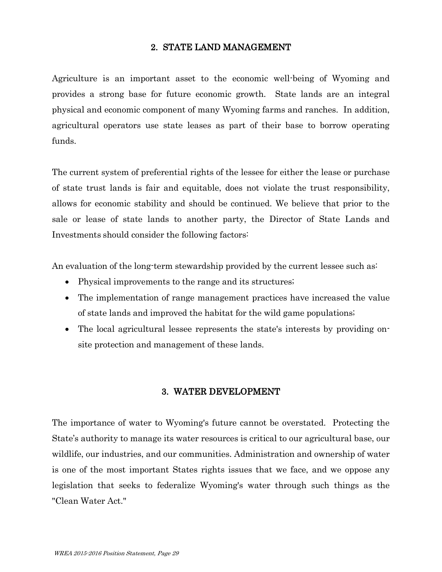# 2. STATE LAND MANAGEMENT

Agriculture is an important asset to the economic well-being of Wyoming and provides a strong base for future economic growth. State lands are an integral physical and economic component of many Wyoming farms and ranches. In addition, agricultural operators use state leases as part of their base to borrow operating funds.

The current system of preferential rights of the lessee for either the lease or purchase of state trust lands is fair and equitable, does not violate the trust responsibility, allows for economic stability and should be continued. We believe that prior to the sale or lease of state lands to another party, the Director of State Lands and Investments should consider the following factors:

An evaluation of the long-term stewardship provided by the current lessee such as:

- Physical improvements to the range and its structures;
- The implementation of range management practices have increased the value of state lands and improved the habitat for the wild game populations;
- The local agricultural lessee represents the state's interests by providing onsite protection and management of these lands.

#### 3. WATER DEVELOPMENT

The importance of water to Wyoming's future cannot be overstated. Protecting the State's authority to manage its water resources is critical to our agricultural base, our wildlife, our industries, and our communities. Administration and ownership of water is one of the most important States rights issues that we face, and we oppose any legislation that seeks to federalize Wyoming's water through such things as the "Clean Water Act."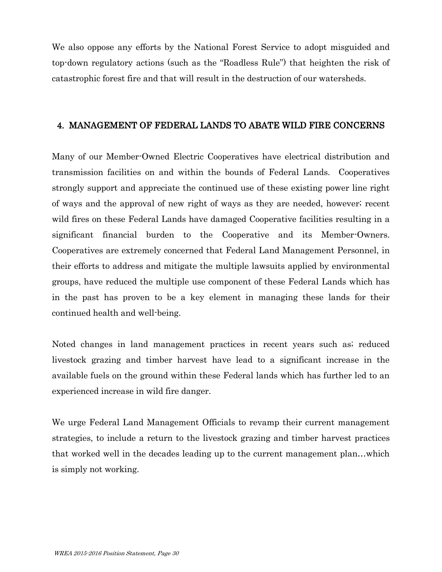We also oppose any efforts by the National Forest Service to adopt misguided and top-down regulatory actions (such as the "Roadless Rule") that heighten the risk of catastrophic forest fire and that will result in the destruction of our watersheds.

# 4. MANAGEMENT OF FEDERAL LANDS TO ABATE WILD FIRE CONCERNS

Many of our Member-Owned Electric Cooperatives have electrical distribution and transmission facilities on and within the bounds of Federal Lands. Cooperatives strongly support and appreciate the continued use of these existing power line right of ways and the approval of new right of ways as they are needed, however; recent wild fires on these Federal Lands have damaged Cooperative facilities resulting in a significant financial burden to the Cooperative and its Member-Owners. Cooperatives are extremely concerned that Federal Land Management Personnel, in their efforts to address and mitigate the multiple lawsuits applied by environmental groups, have reduced the multiple use component of these Federal Lands which has in the past has proven to be a key element in managing these lands for their continued health and well-being.

Noted changes in land management practices in recent years such as; reduced livestock grazing and timber harvest have lead to a significant increase in the available fuels on the ground within these Federal lands which has further led to an experienced increase in wild fire danger.

We urge Federal Land Management Officials to revamp their current management strategies, to include a return to the livestock grazing and timber harvest practices that worked well in the decades leading up to the current management plan…which is simply not working.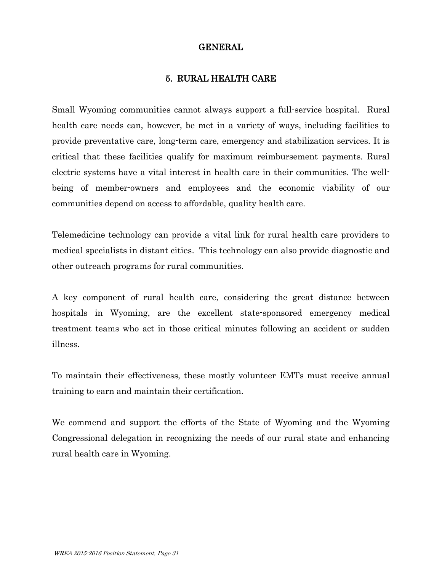# GENERAL

# 5. RURAL HEALTH CARE

Small Wyoming communities cannot always support a full-service hospital. Rural health care needs can, however, be met in a variety of ways, including facilities to provide preventative care, long-term care, emergency and stabilization services. It is critical that these facilities qualify for maximum reimbursement payments. Rural electric systems have a vital interest in health care in their communities. The wellbeing of member-owners and employees and the economic viability of our communities depend on access to affordable, quality health care.

Telemedicine technology can provide a vital link for rural health care providers to medical specialists in distant cities. This technology can also provide diagnostic and other outreach programs for rural communities.

A key component of rural health care, considering the great distance between hospitals in Wyoming, are the excellent state-sponsored emergency medical treatment teams who act in those critical minutes following an accident or sudden illness.

To maintain their effectiveness, these mostly volunteer EMTs must receive annual training to earn and maintain their certification.

We commend and support the efforts of the State of Wyoming and the Wyoming Congressional delegation in recognizing the needs of our rural state and enhancing rural health care in Wyoming.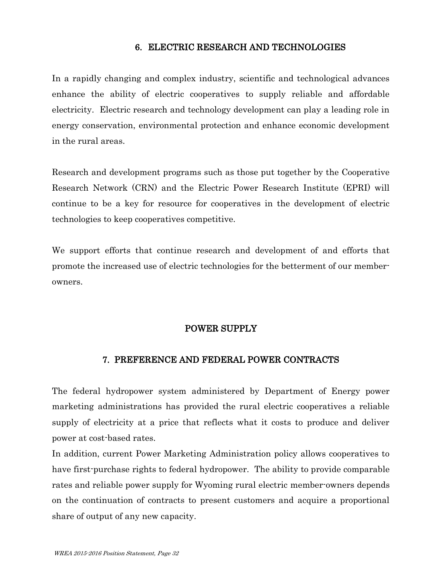#### 6. ELECTRIC RESEARCH AND TECHNOLOGIES

In a rapidly changing and complex industry, scientific and technological advances enhance the ability of electric cooperatives to supply reliable and affordable electricity. Electric research and technology development can play a leading role in energy conservation, environmental protection and enhance economic development in the rural areas.

Research and development programs such as those put together by the Cooperative Research Network (CRN) and the Electric Power Research Institute (EPRI) will continue to be a key for resource for cooperatives in the development of electric technologies to keep cooperatives competitive.

We support efforts that continue research and development of and efforts that promote the increased use of electric technologies for the betterment of our memberowners.

#### POWER SUPPLY

#### 7. PREFERENCE AND FEDERAL POWER CONTRACTS

The federal hydropower system administered by Department of Energy power marketing administrations has provided the rural electric cooperatives a reliable supply of electricity at a price that reflects what it costs to produce and deliver power at cost-based rates.

In addition, current Power Marketing Administration policy allows cooperatives to have first-purchase rights to federal hydropower. The ability to provide comparable rates and reliable power supply for Wyoming rural electric member-owners depends on the continuation of contracts to present customers and acquire a proportional share of output of any new capacity.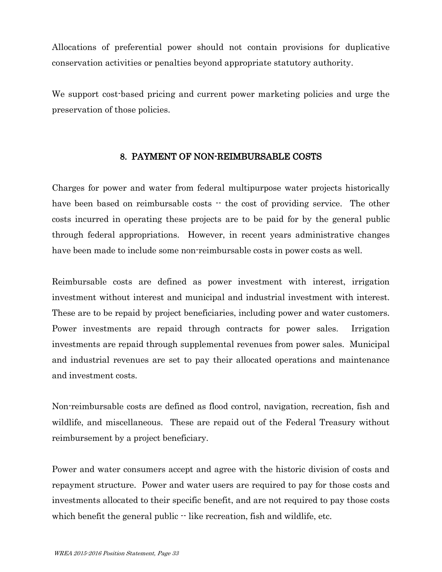Allocations of preferential power should not contain provisions for duplicative conservation activities or penalties beyond appropriate statutory authority.

We support cost-based pricing and current power marketing policies and urge the preservation of those policies.

# 8. PAYMENT OF NON-REIMBURSABLE COSTS

Charges for power and water from federal multipurpose water projects historically have been based on reimbursable costs  $\cdot$  the cost of providing service. The other costs incurred in operating these projects are to be paid for by the general public through federal appropriations. However, in recent years administrative changes have been made to include some non-reimbursable costs in power costs as well.

Reimbursable costs are defined as power investment with interest, irrigation investment without interest and municipal and industrial investment with interest. These are to be repaid by project beneficiaries, including power and water customers. Power investments are repaid through contracts for power sales. Irrigation investments are repaid through supplemental revenues from power sales. Municipal and industrial revenues are set to pay their allocated operations and maintenance and investment costs.

Non-reimbursable costs are defined as flood control, navigation, recreation, fish and wildlife, and miscellaneous. These are repaid out of the Federal Treasury without reimbursement by a project beneficiary.

Power and water consumers accept and agree with the historic division of costs and repayment structure. Power and water users are required to pay for those costs and investments allocated to their specific benefit, and are not required to pay those costs which benefit the general public  $\cdot$  like recreation, fish and wildlife, etc.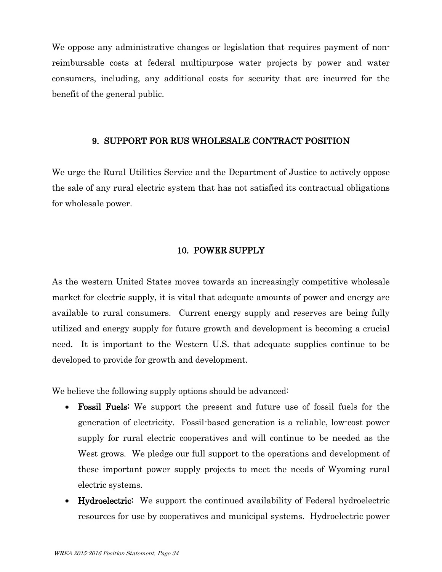We oppose any administrative changes or legislation that requires payment of nonreimbursable costs at federal multipurpose water projects by power and water consumers, including, any additional costs for security that are incurred for the benefit of the general public.

#### 9. SUPPORT FOR RUS WHOLESALE CONTRACT POSITION

We urge the Rural Utilities Service and the Department of Justice to actively oppose the sale of any rural electric system that has not satisfied its contractual obligations for wholesale power.

# 10. POWER SUPPLY

As the western United States moves towards an increasingly competitive wholesale market for electric supply, it is vital that adequate amounts of power and energy are available to rural consumers. Current energy supply and reserves are being fully utilized and energy supply for future growth and development is becoming a crucial need. It is important to the Western U.S. that adequate supplies continue to be developed to provide for growth and development.

We believe the following supply options should be advanced:

- Fossil Fuels: We support the present and future use of fossil fuels for the generation of electricity. Fossil-based generation is a reliable, low-cost power supply for rural electric cooperatives and will continue to be needed as the West grows. We pledge our full support to the operations and development of these important power supply projects to meet the needs of Wyoming rural electric systems.
- Hydroelectric: We support the continued availability of Federal hydroelectric resources for use by cooperatives and municipal systems. Hydroelectric power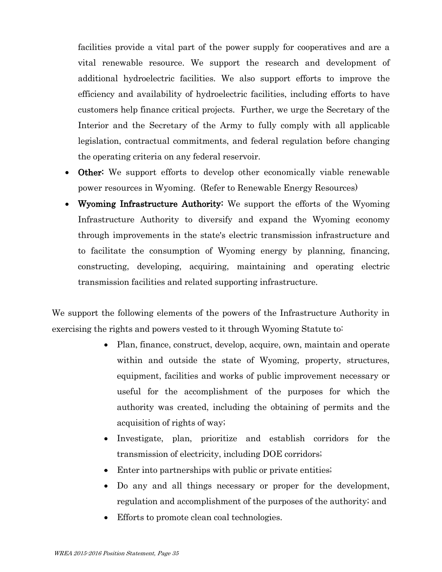facilities provide a vital part of the power supply for cooperatives and are a vital renewable resource. We support the research and development of additional hydroelectric facilities. We also support efforts to improve the efficiency and availability of hydroelectric facilities, including efforts to have customers help finance critical projects. Further, we urge the Secretary of the Interior and the Secretary of the Army to fully comply with all applicable legislation, contractual commitments, and federal regulation before changing the operating criteria on any federal reservoir.

- Other: We support efforts to develop other economically viable renewable power resources in Wyoming. (Refer to Renewable Energy Resources)
- Wyoming Infrastructure Authority: We support the efforts of the Wyoming Infrastructure Authority to diversify and expand the Wyoming economy through improvements in the state's electric transmission infrastructure and to facilitate the consumption of Wyoming energy by planning, financing, constructing, developing, acquiring, maintaining and operating electric transmission facilities and related supporting infrastructure.

We support the following elements of the powers of the Infrastructure Authority in exercising the rights and powers vested to it through Wyoming Statute to:

- Plan, finance, construct, develop, acquire, own, maintain and operate within and outside the state of Wyoming, property, structures, equipment, facilities and works of public improvement necessary or useful for the accomplishment of the purposes for which the authority was created, including the obtaining of permits and the acquisition of rights of way;
- Investigate, plan, prioritize and establish corridors for the transmission of electricity, including DOE corridors;
- Enter into partnerships with public or private entities;
- Do any and all things necessary or proper for the development, regulation and accomplishment of the purposes of the authority; and
- Efforts to promote clean coal technologies.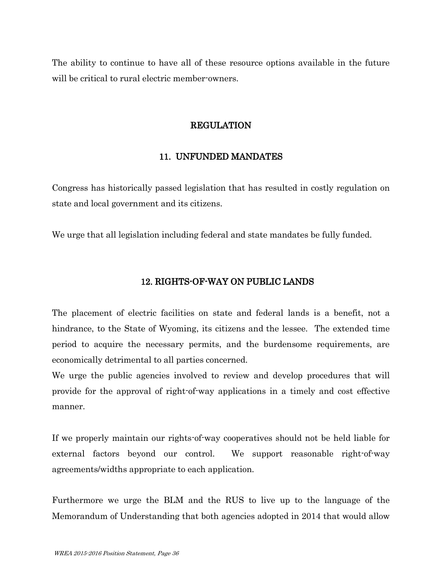The ability to continue to have all of these resource options available in the future will be critical to rural electric member-owners.

# REGULATION

# 11. UNFUNDED MANDATES

Congress has historically passed legislation that has resulted in costly regulation on state and local government and its citizens.

We urge that all legislation including federal and state mandates be fully funded.

# 12. RIGHTS-OF-WAY ON PUBLIC LANDS

The placement of electric facilities on state and federal lands is a benefit, not a hindrance, to the State of Wyoming, its citizens and the lessee. The extended time period to acquire the necessary permits, and the burdensome requirements, are economically detrimental to all parties concerned.

We urge the public agencies involved to review and develop procedures that will provide for the approval of right-of-way applications in a timely and cost effective manner.

If we properly maintain our rights-of-way cooperatives should not be held liable for external factors beyond our control. We support reasonable right-of-way agreements/widths appropriate to each application.

Furthermore we urge the BLM and the RUS to live up to the language of the Memorandum of Understanding that both agencies adopted in 2014 that would allow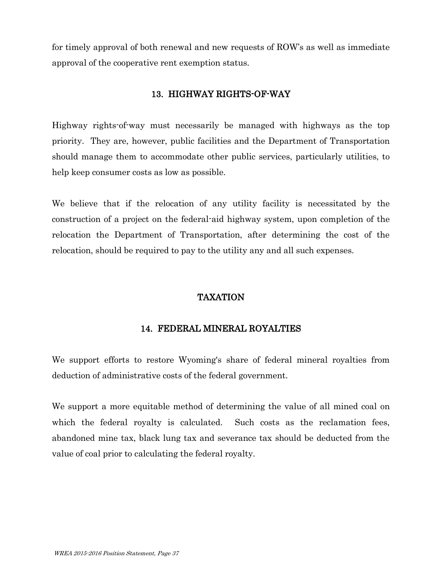for timely approval of both renewal and new requests of ROW's as well as immediate approval of the cooperative rent exemption status.

# 13. HIGHWAY RIGHTS-OF-WAY

Highway rights-of-way must necessarily be managed with highways as the top priority. They are, however, public facilities and the Department of Transportation should manage them to accommodate other public services, particularly utilities, to help keep consumer costs as low as possible.

We believe that if the relocation of any utility facility is necessitated by the construction of a project on the federal-aid highway system, upon completion of the relocation the Department of Transportation, after determining the cost of the relocation, should be required to pay to the utility any and all such expenses.

# TAXATION

# 14. FEDERAL MINERAL ROYALTIES

We support efforts to restore Wyoming's share of federal mineral royalties from deduction of administrative costs of the federal government.

We support a more equitable method of determining the value of all mined coal on which the federal royalty is calculated. Such costs as the reclamation fees, abandoned mine tax, black lung tax and severance tax should be deducted from the value of coal prior to calculating the federal royalty.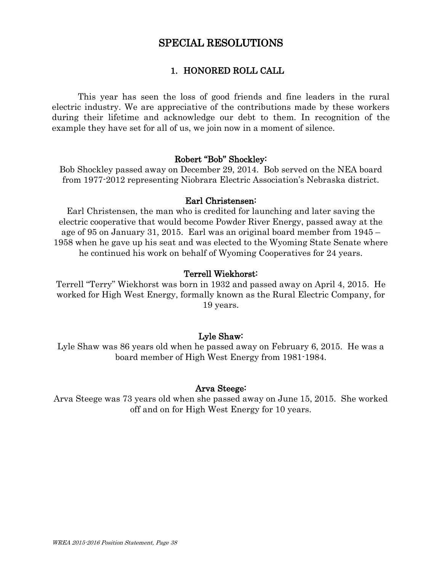# SPECIAL RESOLUTIONS

# 1. HONORED ROLL CALL

This year has seen the loss of good friends and fine leaders in the rural electric industry. We are appreciative of the contributions made by these workers during their lifetime and acknowledge our debt to them. In recognition of the example they have set for all of us, we join now in a moment of silence.

#### Robert "Bob" Shockley:

Bob Shockley passed away on December 29, 2014. Bob served on the NEA board from 1977-2012 representing Niobrara Electric Association's Nebraska district.

#### Earl Christensen:

Earl Christensen, the man who is credited for launching and later saving the electric cooperative that would become Powder River Energy, passed away at the age of 95 on January 31, 2015. Earl was an original board member from 1945 – 1958 when he gave up his seat and was elected to the Wyoming State Senate where he continued his work on behalf of Wyoming Cooperatives for 24 years.

#### Terrell Wiekhorst:

Terrell "Terry" Wiekhorst was born in 1932 and passed away on April 4, 2015. He worked for High West Energy, formally known as the Rural Electric Company, for 19 years.

# Lyle Shaw:

Lyle Shaw was 86 years old when he passed away on February 6, 2015. He was a board member of High West Energy from 1981-1984.

# Arva Steege:

Arva Steege was 73 years old when she passed away on June 15, 2015. She worked off and on for High West Energy for 10 years.